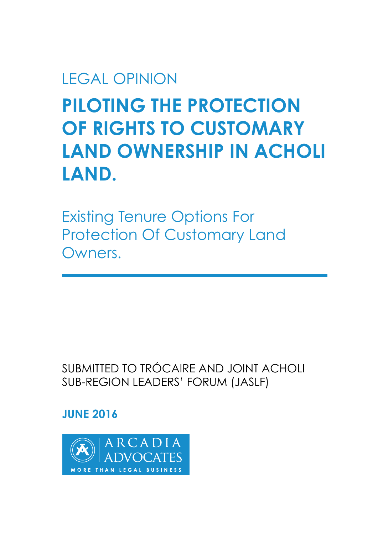# LEGAL OPINION

# **PILOTING THE PROTECTION OF RIGHTS TO CUSTOMARY LAND OWNERSHIP IN ACHOLI LAND.**

Existing Tenure Options For Protection Of Customary Land Owners.

SUBMITTED TO TRÓCAIRE AND JOINT ACHOLI SUB-REGION LEADERS' FORUM (JASLF)

# **JUNE 2016**

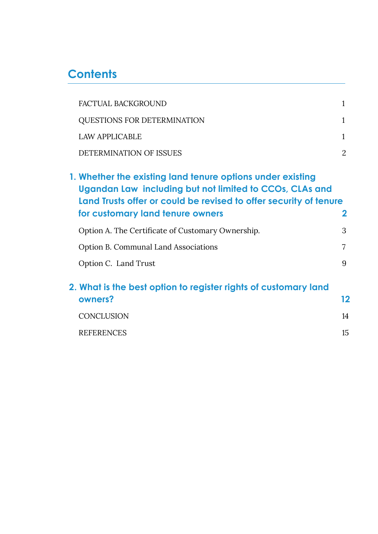# **Contents**

| <b>FACTUAL BACKGROUND</b>                                                                                                                                                                  | 1            |
|--------------------------------------------------------------------------------------------------------------------------------------------------------------------------------------------|--------------|
| QUESTIONS FOR DETERMINATION                                                                                                                                                                | 1            |
| <b>LAW APPLICABLE</b>                                                                                                                                                                      | 1            |
| DETERMINATION OF ISSUES                                                                                                                                                                    | 2            |
| 1. Whether the existing land tenure options under existing<br>Ugandan Law including but not limited to CCOs, CLAs and<br>Land Trusts offer or could be revised to offer security of tenure |              |
| for customary land tenure owners                                                                                                                                                           | $\mathbf{2}$ |
| Option A. The Certificate of Customary Ownership.                                                                                                                                          | 3            |
| <b>Option B. Communal Land Associations</b>                                                                                                                                                | 7            |
| Option C. Land Trust                                                                                                                                                                       | 9            |
| 2. What is the best option to register rights of customary land                                                                                                                            |              |
| owners?                                                                                                                                                                                    | 12           |
| <b>CONCLUSION</b>                                                                                                                                                                          | 14           |
| <b>REFERENCES</b>                                                                                                                                                                          | 15           |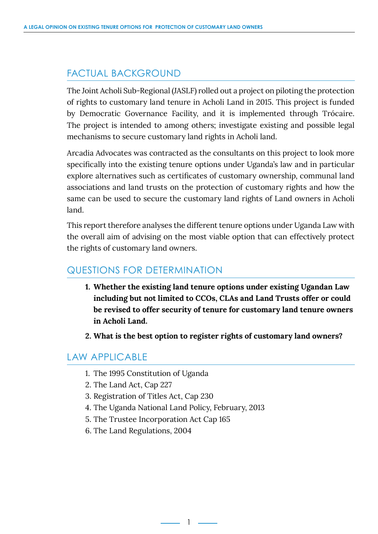## <span id="page-3-0"></span>FACTUAL BACKGROUND

The Joint Acholi Sub-Regional (JASLF) rolled out a project on piloting the protection of rights to customary land tenure in Acholi Land in 2015. This project is funded by Democratic Governance Facility, and it is implemented through Trócaire. The project is intended to among others; investigate existing and possible legal mechanisms to secure customary land rights in Acholi land.

Arcadia Advocates was contracted as the consultants on this project to look more specifically into the existing tenure options under Uganda's law and in particular explore alternatives such as certificates of customary ownership, communal land associations and land trusts on the protection of customary rights and how the same can be used to secure the customary land rights of Land owners in Acholi land.

This report therefore analyses the different tenure options under Uganda Law with the overall aim of advising on the most viable option that can effectively protect the rights of customary land owners.

### QUESTIONS FOR DETERMINATION

- **1. Whether the existing land tenure options under existing Ugandan Law including but not limited to CCOs, CLAs and Land Trusts offer or could be revised to offer security of tenure for customary land tenure owners in Acholi Land.**
- **2. What is the best option to register rights of customary land owners?**

### LAW APPLICABLE

- 1. The 1995 Constitution of Uganda
- 2. The Land Act, Cap 227
- 3. Registration of Titles Act, Cap 230
- 4. The Uganda National Land Policy, February, 2013

1

- 5. The Trustee Incorporation Act Cap 165
- 6. The Land Regulations, 2004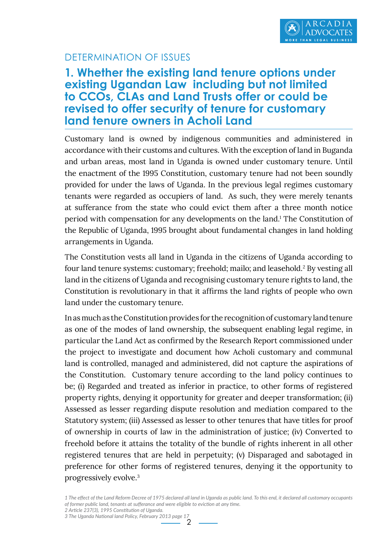

### DETERMINATION OF ISSUES

# **1. Whether the existing land tenure options under existing Ugandan Law including but not limited to CCOs, CLAs and Land Trusts offer or could be revised to offer security of tenure for customary land tenure owners in Acholi Land**

Customary land is owned by indigenous communities and administered in accordance with their customs and cultures. With the exception of land in Buganda and urban areas, most land in Uganda is owned under customary tenure. Until the enactment of the 1995 Constitution, customary tenure had not been soundly provided for under the laws of Uganda. In the previous legal regimes customary tenants were regarded as occupiers of land. As such, they were merely tenants at sufferance from the state who could evict them after a three month notice period with compensation for any developments on the land.<sup>1</sup> The Constitution of the Republic of Uganda, 1995 brought about fundamental changes in land holding arrangements in Uganda.

The Constitution vests all land in Uganda in the citizens of Uganda according to four land tenure systems: customary; freehold; mailo; and leasehold.<sup>2</sup> By vesting all land in the citizens of Uganda and recognising customary tenure rights to land, the Constitution is revolutionary in that it affirms the land rights of people who own land under the customary tenure.

In as much as the Constitution provides for the recognition of customary land tenure as one of the modes of land ownership, the subsequent enabling legal regime, in particular the Land Act as confirmed by the Research Report commissioned under the project to investigate and document how Acholi customary and communal land is controlled, managed and administered, did not capture the aspirations of the Constitution. Customary tenure according to the land policy continues to be; (i) Regarded and treated as inferior in practice, to other forms of registered property rights, denying it opportunity for greater and deeper transformation; (ii) Assessed as lesser regarding dispute resolution and mediation compared to the Statutory system; (iii) Assessed as lesser to other tenures that have titles for proof of ownership in courts of law in the administration of justice; (iv) Converted to freehold before it attains the totality of the bundle of rights inherent in all other registered tenures that are held in perpetuity; (v) Disparaged and sabotaged in preference for other forms of registered tenures, denying it the opportunity to progressively evolve.3

*1 The effect of the Land Reform Decree of 1975 declared all land in Uganda as public land. To this end, it declared all customary occupants of former public land, tenants at sufferance and were eligible to eviction at any time.*

2

*2 Article 237(3), 1995 Constitution of Uganda. 3 The Uganda National land Policy, February 2013 page 17*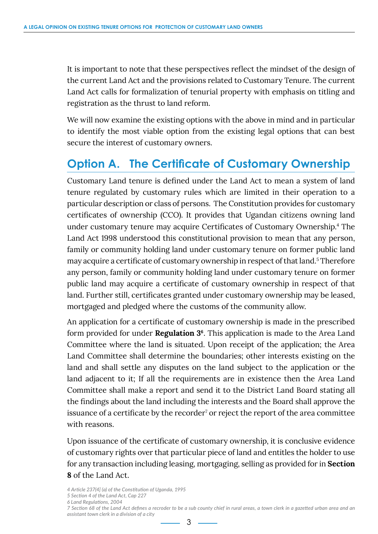<span id="page-5-0"></span>It is important to note that these perspectives reflect the mindset of the design of the current Land Act and the provisions related to Customary Tenure. The current Land Act calls for formalization of tenurial property with emphasis on titling and registration as the thrust to land reform.

We will now examine the existing options with the above in mind and in particular to identify the most viable option from the existing legal options that can best secure the interest of customary owners.

# **Option A. The Certificate of Customary Ownership**

Customary Land tenure is defined under the Land Act to mean a system of land tenure regulated by customary rules which are limited in their operation to a particular description or class of persons. The Constitution provides for customary certificates of ownership (CCO). It provides that Ugandan citizens owning land under customary tenure may acquire Certificates of Customary Ownership.<sup>4</sup> The Land Act 1998 understood this constitutional provision to mean that any person, family or community holding land under customary tenure on former public land may acquire a certificate of customary ownership in respect of that land.<sup>5</sup> Therefore any person, family or community holding land under customary tenure on former public land may acquire a certificate of customary ownership in respect of that land. Further still, certificates granted under customary ownership may be leased, mortgaged and pledged where the customs of the community allow.

An application for a certificate of customary ownership is made in the prescribed form provided for under **Regulation 36**. This application is made to the Area Land Committee where the land is situated. Upon receipt of the application; the Area Land Committee shall determine the boundaries; other interests existing on the land and shall settle any disputes on the land subject to the application or the land adjacent to it; If all the requirements are in existence then the Area Land Committee shall make a report and send it to the District Land Board stating all the findings about the land including the interests and the Board shall approve the issuance of a certificate by the recorder<sup>7</sup> or reject the report of the area committee with reasons.

Upon issuance of the certificate of customary ownership, it is conclusive evidence of customary rights over that particular piece of land and entitles the holder to use for any transaction including leasing, mortgaging, selling as provided for in **Section 8** of the Land Act.

*<sup>4</sup> Article 237(4] (a) of the Constitution of Uganda, 1995*

*<sup>5</sup> Section 4 of the Land Act, Cap 227*

*<sup>6</sup> Land Regulations, 2004*

*<sup>7</sup> Section 68 of the Land Act defines a recroder to be a sub county chief in rural areas, a town clerk in a gazetted urban area and an assistant town clerk in a division of a city*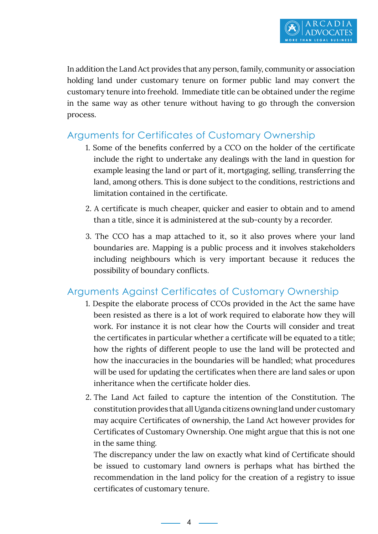In addition the Land Act provides that any person, family, community or association holding land under customary tenure on former public land may convert the customary tenure into freehold. Immediate title can be obtained under the regime in the same way as other tenure without having to go through the conversion process.

### Arguments for Certificates of Customary Ownership

- 1. Some of the benefits conferred by a CCO on the holder of the certificate include the right to undertake any dealings with the land in question for example leasing the land or part of it, mortgaging, selling, transferring the land, among others. This is done subject to the conditions, restrictions and limitation contained in the certificate.
- 2. A certificate is much cheaper, quicker and easier to obtain and to amend than a title, since it is administered at the sub-county by a recorder.
- 3. The CCO has a map attached to it, so it also proves where your land boundaries are. Mapping is a public process and it involves stakeholders including neighbours which is very important because it reduces the possibility of boundary conflicts.

### Arguments Against Certificates of Customary Ownership

- 1. Despite the elaborate process of CCOs provided in the Act the same have been resisted as there is a lot of work required to elaborate how they will work. For instance it is not clear how the Courts will consider and treat the certificates in particular whether a certificate will be equated to a title; how the rights of different people to use the land will be protected and how the inaccuracies in the boundaries will be handled; what procedures will be used for updating the certificates when there are land sales or upon inheritance when the certificate holder dies.
- 2. The Land Act failed to capture the intention of the Constitution. The constitution provides that all Uganda citizens owning land under customary may acquire Certificates of ownership, the Land Act however provides for Certificates of Customary Ownership. One might argue that this is not one in the same thing.

The discrepancy under the law on exactly what kind of Certificate should be issued to customary land owners is perhaps what has birthed the recommendation in the land policy for the creation of a registry to issue certificates of customary tenure.

4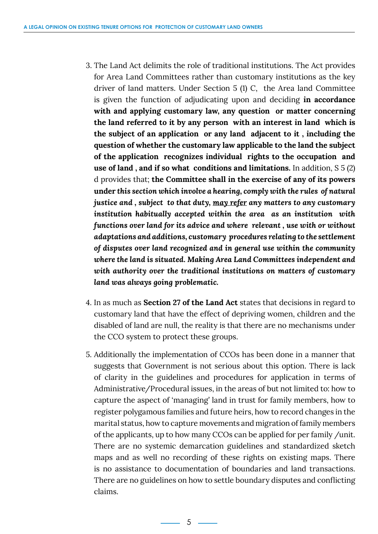- 3. The Land Act delimits the role of traditional institutions. The Act provides for Area Land Committees rather than customary institutions as the key driver of land matters. Under Section 5 (1) C, the Area land Committee is given the function of adjudicating upon and deciding **in accordance with and applying customary law, any question or matter concerning the land referred to it by any person with an interest in land which is the subject of an application or any land adjacent to it , including the question of whether the customary law applicable to the land the subject of the application recognizes individual rights to the occupation and use of land , and if so what conditions and limitations.** In addition, S 5 (2) d provides that; **the Committee shall in the exercise of any of its powers under** *this section which involve a hearing, comply with the rules of natural justice and , subject to that duty, may refer any matters to any customary institution habitually accepted within the area as an institution with functions over land for its advice and where relevant , use with or without adaptations and additions, customary procedures relating to the settlement of disputes over land recognized and in general use within the community where the land is situated. Making Area Land Committees independent and with authority over the traditional institutions on matters of customary land was always going problematic.*
- 4. In as much as **Section 27 of the Land Act** states that decisions in regard to customary land that have the effect of depriving women, children and the disabled of land are null, the reality is that there are no mechanisms under the CCO system to protect these groups.
- 5. Additionally the implementation of CCOs has been done in a manner that suggests that Government is not serious about this option. There is lack of clarity in the guidelines and procedures for application in terms of Administrative/Procedural issues, in the areas of but not limited to: how to capture the aspect of 'managing' land in trust for family members, how to register polygamous families and future heirs, how to record changes in the marital status, how to capture movements and migration of family members of the applicants, up to how many CCOs can be applied for per family /unit. There are no systemic demarcation guidelines and standardized sketch maps and as well no recording of these rights on existing maps. There is no assistance to documentation of boundaries and land transactions. There are no guidelines on how to settle boundary disputes and conflicting claims.

 $-5$   $-$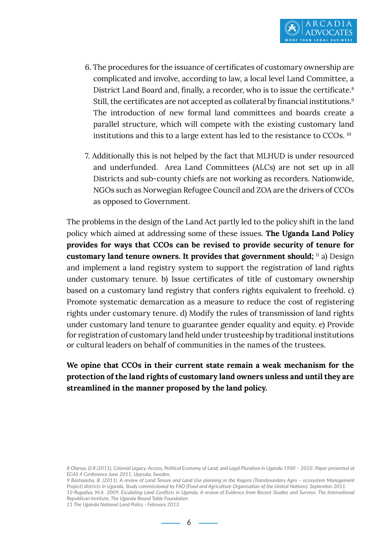- 6. The procedures for the issuance of certificates of customary ownership are complicated and involve, according to law, a local level Land Committee, a District Land Board and, finally, a recorder, who is to issue the certificate.<sup>8</sup> Still, the certificates are not accepted as collateral by financial institutions.<sup>9</sup> The introduction of new formal land committees and boards create a parallel structure, which will compete with the existing customary land institutions and this to a large extent has led to the resistance to CCOs. 10
- 7. Additionally this is not helped by the fact that MLHUD is under resourced and underfunded. Area Land Committees (ALCs) are not set up in all Districts and sub-county chiefs are not working as recorders. Nationwide, NGOs such as Norwegian Refugee Council and ZOA are the drivers of CCOs as opposed to Government.

The problems in the design of the Land Act partly led to the policy shift in the land policy which aimed at addressing some of these issues. **The Uganda Land Policy provides for ways that CCOs can be revised to provide security of tenure for customary land tenure owners. It provides that government should;** <sup>11</sup> a) Design and implement a land registry system to support the registration of land rights under customary tenure. b) Issue certificates of title of customary ownership based on a customary land registry that confers rights equivalent to freehold. c) Promote systematic demarcation as a measure to reduce the cost of registering rights under customary tenure. d) Modify the rules of transmission of land rights under customary land tenure to guarantee gender equality and equity. e) Provide for registration of customary land held under trusteeship by traditional institutions or cultural leaders on behalf of communities in the names of the trustees.

#### **We opine that CCOs in their current state remain a weak mechanism for the protection of the land rights of customary land owners unless and until they are streamlined in the manner proposed by the land policy.**

*9 Bashaasha, B. (2011). A review of Land Tenure and Land Use planning in the Kagera (Transboundary Agro – ecosystem Management Project) districts in Uganda, Study commissioned by FAO (Food and Agriculture Organisation of the United Nations). September 2011. 10 Rugadya, M.A 2009. Escalating Land Conflicts in Uganda. A review of Evidence from Recent Studies and Surveys. The International Republican Institute, The Uganda Round Table Foundation*

*11 The Uganda National Land Policy - February 2013*

*<sup>8</sup> Olanya, D.R (2011), Colonial Legacy, Access, Political Economy of Land, and Legal Pluralism in Uganda 1900 – 2010.' Paper presented at ECAS 4 Conference June 2011, Uppsala, Sweden.*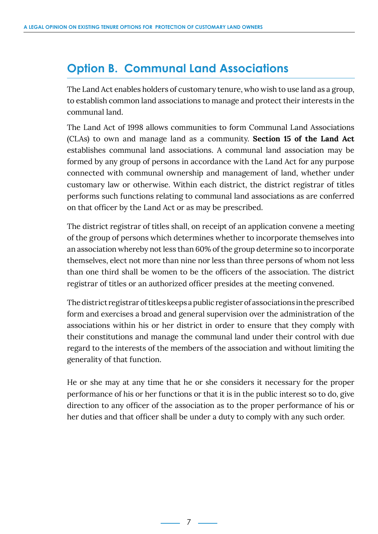# <span id="page-9-0"></span>**Option B. Communal Land Associations**

The Land Act enables holders of customary tenure, who wish to use land as a group, to establish common land associations to manage and protect their interests in the communal land.

The Land Act of 1998 allows communities to form Communal Land Associations (CLAs) to own and manage land as a community. **Section 15 of the Land Act** establishes communal land associations. A communal land association may be formed by any group of persons in accordance with the Land Act for any purpose connected with communal ownership and management of land, whether under customary law or otherwise. Within each district, the district registrar of titles performs such functions relating to communal land associations as are conferred on that officer by the Land Act or as may be prescribed.

The district registrar of titles shall, on receipt of an application convene a meeting of the group of persons which determines whether to incorporate themselves into an association whereby not less than 60% of the group determine so to incorporate themselves, elect not more than nine nor less than three persons of whom not less than one third shall be women to be the officers of the association. The district registrar of titles or an authorized officer presides at the meeting convened.

The district registrar of titles keeps a public register of associations in the prescribed form and exercises a broad and general supervision over the administration of the associations within his or her district in order to ensure that they comply with their constitutions and manage the communal land under their control with due regard to the interests of the members of the association and without limiting the generality of that function.

He or she may at any time that he or she considers it necessary for the proper performance of his or her functions or that it is in the public interest so to do, give direction to any officer of the association as to the proper performance of his or her duties and that officer shall be under a duty to comply with any such order.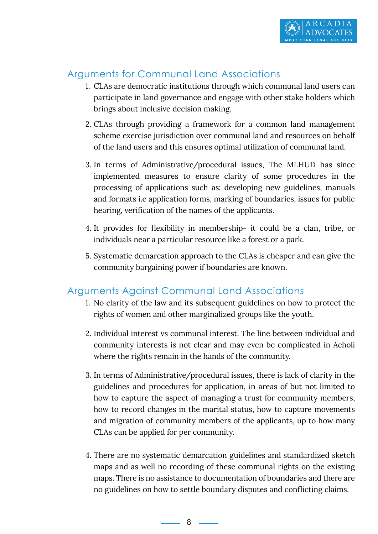

### Arguments for Communal Land Associations

- 1. CLAs are democratic institutions through which communal land users can participate in land governance and engage with other stake holders which brings about inclusive decision making.
- 2. CLAs through providing a framework for a common land management scheme exercise jurisdiction over communal land and resources on behalf of the land users and this ensures optimal utilization of communal land.
- 3. In terms of Administrative/procedural issues, The MLHUD has since implemented measures to ensure clarity of some procedures in the processing of applications such as: developing new guidelines, manuals and formats i.e application forms, marking of boundaries, issues for public hearing, verification of the names of the applicants.
- 4. It provides for flexibility in membership- it could be a clan, tribe, or individuals near a particular resource like a forest or a park.
- 5. Systematic demarcation approach to the CLAs is cheaper and can give the community bargaining power if boundaries are known.

#### Arguments Against Communal Land Associations

- 1. No clarity of the law and its subsequent guidelines on how to protect the rights of women and other marginalized groups like the youth.
- 2. Individual interest vs communal interest. The line between individual and community interests is not clear and may even be complicated in Acholi where the rights remain in the hands of the community.
- 3. In terms of Administrative/procedural issues, there is lack of clarity in the guidelines and procedures for application, in areas of but not limited to how to capture the aspect of managing a trust for community members, how to record changes in the marital status, how to capture movements and migration of community members of the applicants, up to how many CLAs can be applied for per community.
- 4. There are no systematic demarcation guidelines and standardized sketch maps and as well no recording of these communal rights on the existing maps. There is no assistance to documentation of boundaries and there are no guidelines on how to settle boundary disputes and conflicting claims.

 $\sim$  8  $\sim$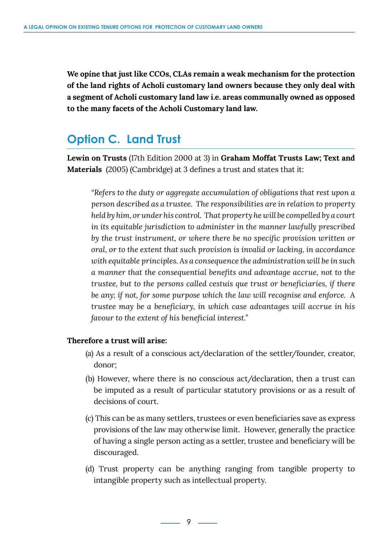<span id="page-11-0"></span>**We opine that just like CCOs, CLAs remain a weak mechanism for the protection of the land rights of Acholi customary land owners because they only deal with a segment of Acholi customary land law i.e. areas communally owned as opposed to the many facets of the Acholi Customary land law.** 

# **Option C. Land Trust**

**Lewin on Trusts** (17th Edition 2000 at 3) in **Graham Moffat Trusts Law; Text and Materials** (2005) (Cambridge) at 3 defines a trust and states that it:

*"Refers to the duty or aggregate accumulation of obligations that rest upon a person described as a trustee. The responsibilities are in relation to property held by him, or under his control. That property he will be compelled by a court in its equitable jurisdiction to administer in the manner lawfully prescribed by the trust instrument, or where there be no specific provision written or oral, or to the extent that such provision is invalid or lacking, in accordance with equitable principles. As a consequence the administration will be in such a manner that the consequential benefits and advantage accrue, not to the trustee, but to the persons called cestuis que trust or beneficiaries, if there be any; if not, for some purpose which the law will recognise and enforce. A trustee may be a beneficiary, in which case advantages will accrue in his favour to the extent of his beneficial interest."*

#### **Therefore a trust will arise:**

- (a) As a result of a conscious act/declaration of the settler/founder, creator, donor;
- (b) However, where there is no conscious act/declaration, then a trust can be imputed as a result of particular statutory provisions or as a result of decisions of court.
- (c) This can be as many settlers, trustees or even beneficiaries save as express provisions of the law may otherwise limit. However, generally the practice of having a single person acting as a settler, trustee and beneficiary will be discouraged.
- (d) Trust property can be anything ranging from tangible property to intangible property such as intellectual property.

 $-9$   $-$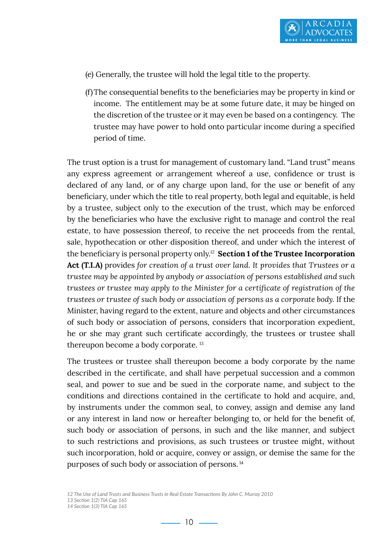

- (e) Generally, the trustee will hold the legal title to the property.
- (f)The consequential benefits to the beneficiaries may be property in kind or income. The entitlement may be at some future date, it may be hinged on the discretion of the trustee or it may even be based on a contingency. The trustee may have power to hold onto particular income during a specified period of time.

The trust option is a trust for management of customary land. "Land trust" means any express agreement or arrangement whereof a use, confidence or trust is declared of any land, or of any charge upon land, for the use or benefit of any beneficiary, under which the title to real property, both legal and equitable, is held by a trustee, subject only to the execution of the trust, which may be enforced by the beneficiaries who have the exclusive right to manage and control the real estate, to have possession thereof, to receive the net proceeds from the rental, sale, hypothecation or other disposition thereof, and under which the interest of the beneficiary is personal property only.12 **Section 1 of the Trustee Incorporation Act (T.I.A)** provides *for creation of a trust over land. It provides that Trustees or a trustee may be appointed by anybody or association of persons established and such trustees or trustee may apply to the Minister for a certificate of registration of the trustees or trustee of such body or association of persons as a corporate body.* If the Minister, having regard to the extent, nature and objects and other circumstances of such body or association of persons, considers that incorporation expedient, he or she may grant such certificate accordingly, the trustees or trustee shall thereupon become a body corporate. 13

The trustees or trustee shall thereupon become a body corporate by the name described in the certificate, and shall have perpetual succession and a common seal, and power to sue and be sued in the corporate name, and subject to the conditions and directions contained in the certificate to hold and acquire, and, by instruments under the common seal, to convey, assign and demise any land or any interest in land now or hereafter belonging to, or held for the benefit of, such body or association of persons, in such and the like manner, and subject to such restrictions and provisions, as such trustees or trustee might, without such incorporation, hold or acquire, convey or assign, or demise the same for the purposes of such body or association of persons.<sup>14</sup>

*<sup>12</sup> The Use of Land Trusts and Business Trusts in Real Estate Transactions By John C. Murray 2010*

*<sup>13</sup> Section 1(2) TIA Cap 165*

*<sup>14</sup> Section 1(3) TIA Cap 165*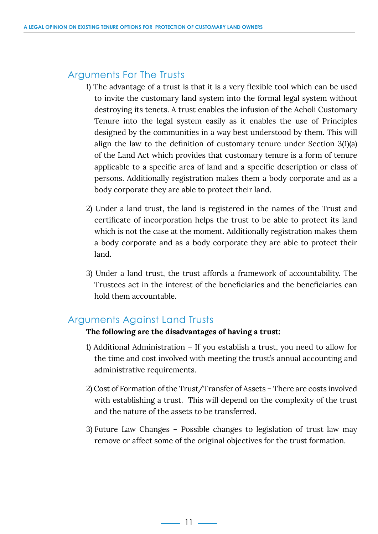### Arguments For The Trusts

- 1) The advantage of a trust is that it is a very flexible tool which can be used to invite the customary land system into the formal legal system without destroying its tenets. A trust enables the infusion of the Acholi Customary Tenure into the legal system easily as it enables the use of Principles designed by the communities in a way best understood by them. This will align the law to the definition of customary tenure under Section 3(1)(a) of the Land Act which provides that customary tenure is a form of tenure applicable to a specific area of land and a specific description or class of persons. Additionally registration makes them a body corporate and as a body corporate they are able to protect their land.
- 2) Under a land trust, the land is registered in the names of the Trust and certificate of incorporation helps the trust to be able to protect its land which is not the case at the moment. Additionally registration makes them a body corporate and as a body corporate they are able to protect their land.
- 3) Under a land trust, the trust affords a framework of accountability. The Trustees act in the interest of the beneficiaries and the beneficiaries can hold them accountable.

#### Arguments Against Land Trusts

#### **The following are the disadvantages of having a trust:**

- 1) Additional Administration If you establish a trust, you need to allow for the time and cost involved with meeting the trust's annual accounting and administrative requirements.
- 2) Cost of Formation of the Trust/Transfer of Assets There are costs involved with establishing a trust. This will depend on the complexity of the trust and the nature of the assets to be transferred.
- 3) Future Law Changes Possible changes to legislation of trust law may remove or affect some of the original objectives for the trust formation.

 $\longrightarrow$  11  $\longrightarrow$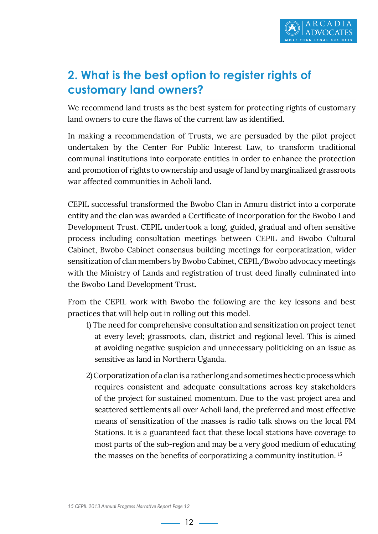

# <span id="page-14-0"></span>**2. What is the best option to register rights of customary land owners?**

We recommend land trusts as the best system for protecting rights of customary land owners to cure the flaws of the current law as identified.

In making a recommendation of Trusts, we are persuaded by the pilot project undertaken by the Center For Public Interest Law, to transform traditional communal institutions into corporate entities in order to enhance the protection and promotion of rights to ownership and usage of land by marginalized grassroots war affected communities in Acholi land.

CEPIL successful transformed the Bwobo Clan in Amuru district into a corporate entity and the clan was awarded a Certificate of Incorporation for the Bwobo Land Development Trust. CEPIL undertook a long, guided, gradual and often sensitive process including consultation meetings between CEPIL and Bwobo Cultural Cabinet, Bwobo Cabinet consensus building meetings for corporatization, wider sensitization of clan members by Bwobo Cabinet, CEPIL/Bwobo advocacy meetings with the Ministry of Lands and registration of trust deed finally culminated into the Bwobo Land Development Trust.

From the CEPIL work with Bwobo the following are the key lessons and best practices that will help out in rolling out this model.

- 1) The need for comprehensive consultation and sensitization on project tenet at every level; grassroots, clan, district and regional level. This is aimed at avoiding negative suspicion and unnecessary politicking on an issue as sensitive as land in Northern Uganda.
- 2) Corporatization of a clan is a rather long and sometimes hectic process which requires consistent and adequate consultations across key stakeholders of the project for sustained momentum. Due to the vast project area and scattered settlements all over Acholi land, the preferred and most effective means of sensitization of the masses is radio talk shows on the local FM Stations. It is a guaranteed fact that these local stations have coverage to most parts of the sub-region and may be a very good medium of educating the masses on the benefits of corporatizing a community institution. <sup>15</sup>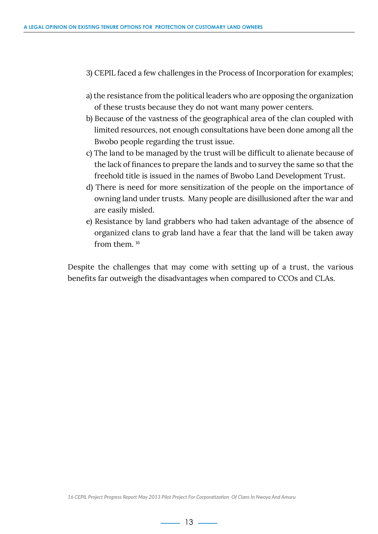- 3) CEPIL faced a few challenges in the Process of Incorporation for examples;
- a) the resistance from the political leaders who are opposing the organization of these trusts because they do not want many power centers.
- b) Because of the vastness of the geographical area of the clan coupled with limited resources, not enough consultations have been done among all the Bwobo people regarding the trust issue.
- c) The land to be managed by the trust will be difficult to alienate because of the lack of finances to prepare the lands and to survey the same so that the freehold title is issued in the names of Bwobo Land Development Trust.
- d) There is need for more sensitization of the people on the importance of owning land under trusts. Many people are disillusioned after the war and are easily misled.
- e) Resistance by land grabbers who had taken advantage of the absence of organized clans to grab land have a fear that the land will be taken away from them.<sup>16</sup>

Despite the challenges that may come with setting up of a trust, the various benefits far outweigh the disadvantages when compared to CCOs and CLAs.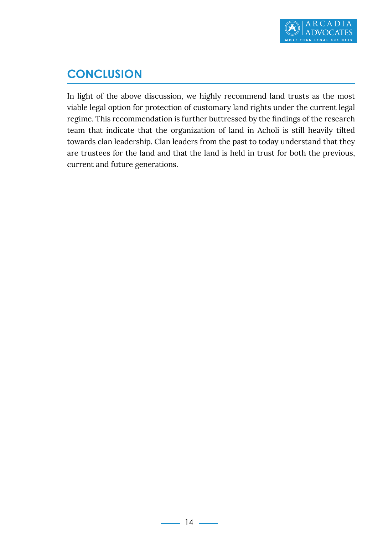

# <span id="page-16-0"></span>**CONCLUSION**

In light of the above discussion, we highly recommend land trusts as the most viable legal option for protection of customary land rights under the current legal regime. This recommendation is further buttressed by the findings of the research team that indicate that the organization of land in Acholi is still heavily tilted towards clan leadership. Clan leaders from the past to today understand that they are trustees for the land and that the land is held in trust for both the previous, current and future generations.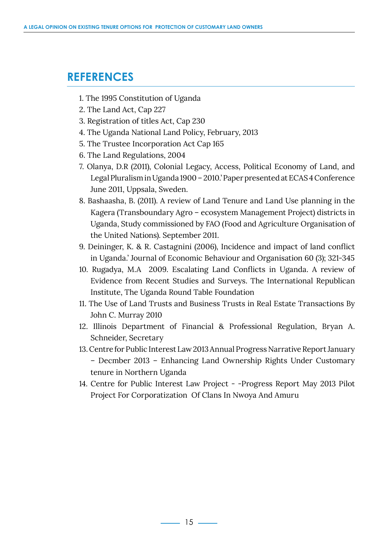## <span id="page-17-0"></span>**REFERENCES**

- 1. The 1995 Constitution of Uganda
- 2. The Land Act, Cap 227
- 3. Registration of titles Act, Cap 230
- 4. The Uganda National Land Policy, February, 2013
- 5. The Trustee Incorporation Act Cap 165
- 6. The Land Regulations, 2004
- 7. Olanya, D.R (2011), Colonial Legacy, Access, Political Economy of Land, and Legal Pluralism in Uganda 1900 – 2010.' Paper presented at ECAS 4 Conference June 2011, Uppsala, Sweden.
- 8. Bashaasha, B. (2011). A review of Land Tenure and Land Use planning in the Kagera (Transboundary Agro – ecosystem Management Project) districts in Uganda, Study commissioned by FAO (Food and Agriculture Organisation of the United Nations). September 2011.
- 9. Deininger, K. & R. Castagnini (2006), Incidence and impact of land conflict in Uganda.' Journal of Economic Behaviour and Organisation 60 (3); 321-345
- 10. Rugadya, M.A 2009. Escalating Land Conflicts in Uganda. A review of Evidence from Recent Studies and Surveys. The International Republican Institute, The Uganda Round Table Foundation
- 11. The Use of Land Trusts and Business Trusts in Real Estate Transactions By John C. Murray 2010
- 12. Illinois Department of Financial & Professional Regulation, Bryan A. Schneider, Secretary
- 13. Centre for Public Interest Law 2013 Annual Progress Narrative Report January – Decmber 2013 – Enhancing Land Ownership Rights Under Customary tenure in Northern Uganda
- 14. Centre for Public Interest Law Project -Progress Report May 2013 Pilot Project For Corporatization Of Clans In Nwoya And Amuru